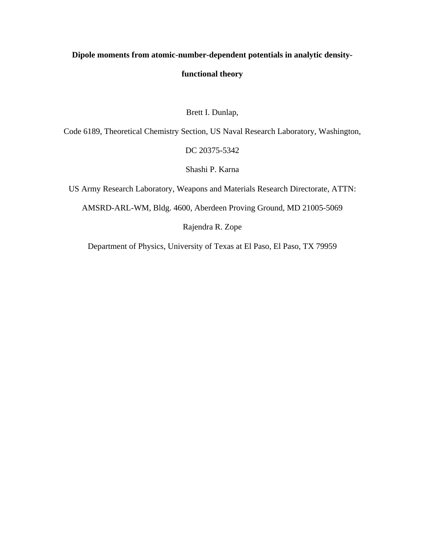# **Dipole moments from atomic-number-dependent potentials in analytic density-**

# **functional theory**

# Brett I. Dunlap,

Code 6189, Theoretical Chemistry Section, US Naval Research Laboratory, Washington,

## DC 20375-5342

Shashi P. Karna

US Army Research Laboratory, Weapons and Materials Research Directorate, ATTN:

AMSRD-ARL-WM, Bldg. 4600, Aberdeen Proving Ground, MD 21005-5069

Rajendra R. Zope

Department of Physics, University of Texas at El Paso, El Paso, TX 79959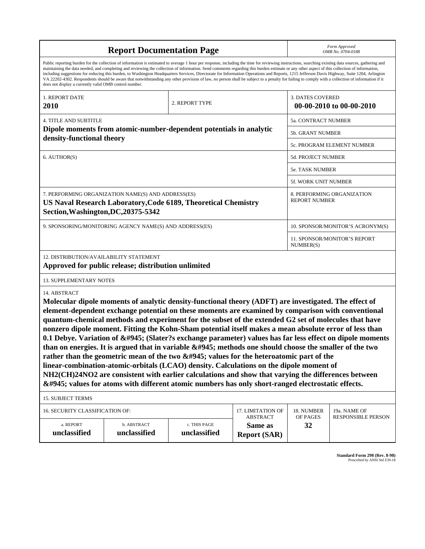|                                                                                                                                                                                                                                                                                                                                                                                                                                                                                                                                                                                                                                                                                                                                                                                                                                                                                                                                                                                                                                                                          | Form Approved<br>OMB No. 0704-0188                                 |                              |                                      |                                  |                                           |  |  |  |
|--------------------------------------------------------------------------------------------------------------------------------------------------------------------------------------------------------------------------------------------------------------------------------------------------------------------------------------------------------------------------------------------------------------------------------------------------------------------------------------------------------------------------------------------------------------------------------------------------------------------------------------------------------------------------------------------------------------------------------------------------------------------------------------------------------------------------------------------------------------------------------------------------------------------------------------------------------------------------------------------------------------------------------------------------------------------------|--------------------------------------------------------------------|------------------------------|--------------------------------------|----------------------------------|-------------------------------------------|--|--|--|
| Public reporting burden for the collection of information is estimated to average 1 hour per response, including the time for reviewing instructions, searching existing data sources, gathering and<br>maintaining the data needed, and completing and reviewing the collection of information. Send comments regarding this burden estimate or any other aspect of this collection of information,<br>including suggestions for reducing this burden, to Washington Headquarters Services, Directorate for Information Operations and Reports, 1215 Jefferson Davis Highway, Suite 1204, Arlington<br>VA 22202-4302. Respondents should be aware that notwithstanding any other provision of law, no person shall be subject to a penalty for failing to comply with a collection of information if it<br>does not display a currently valid OMB control number.                                                                                                                                                                                                       |                                                                    |                              |                                      |                                  |                                           |  |  |  |
| 1. REPORT DATE<br>2010                                                                                                                                                                                                                                                                                                                                                                                                                                                                                                                                                                                                                                                                                                                                                                                                                                                                                                                                                                                                                                                   |                                                                    | 2. REPORT TYPE               |                                      | 3. DATES COVERED                 | 00-00-2010 to 00-00-2010                  |  |  |  |
| <b>4. TITLE AND SUBTITLE</b>                                                                                                                                                                                                                                                                                                                                                                                                                                                                                                                                                                                                                                                                                                                                                                                                                                                                                                                                                                                                                                             | 5a. CONTRACT NUMBER                                                |                              |                                      |                                  |                                           |  |  |  |
|                                                                                                                                                                                                                                                                                                                                                                                                                                                                                                                                                                                                                                                                                                                                                                                                                                                                                                                                                                                                                                                                          | Dipole moments from atomic-number-dependent potentials in analytic |                              |                                      | 5b. GRANT NUMBER                 |                                           |  |  |  |
| density-functional theory                                                                                                                                                                                                                                                                                                                                                                                                                                                                                                                                                                                                                                                                                                                                                                                                                                                                                                                                                                                                                                                |                                                                    |                              | 5c. PROGRAM ELEMENT NUMBER           |                                  |                                           |  |  |  |
| 6. AUTHOR(S)                                                                                                                                                                                                                                                                                                                                                                                                                                                                                                                                                                                                                                                                                                                                                                                                                                                                                                                                                                                                                                                             |                                                                    |                              |                                      | 5d. PROJECT NUMBER               |                                           |  |  |  |
|                                                                                                                                                                                                                                                                                                                                                                                                                                                                                                                                                                                                                                                                                                                                                                                                                                                                                                                                                                                                                                                                          |                                                                    |                              |                                      | <b>5e. TASK NUMBER</b>           |                                           |  |  |  |
|                                                                                                                                                                                                                                                                                                                                                                                                                                                                                                                                                                                                                                                                                                                                                                                                                                                                                                                                                                                                                                                                          |                                                                    |                              |                                      | 5f. WORK UNIT NUMBER             |                                           |  |  |  |
| 7. PERFORMING ORGANIZATION NAME(S) AND ADDRESS(ES)<br>8. PERFORMING ORGANIZATION<br><b>REPORT NUMBER</b><br>US Naval Research Laboratory, Code 6189, Theoretical Chemistry<br>Section, Washington, DC, 20375-5342                                                                                                                                                                                                                                                                                                                                                                                                                                                                                                                                                                                                                                                                                                                                                                                                                                                        |                                                                    |                              |                                      |                                  |                                           |  |  |  |
|                                                                                                                                                                                                                                                                                                                                                                                                                                                                                                                                                                                                                                                                                                                                                                                                                                                                                                                                                                                                                                                                          | 9. SPONSORING/MONITORING AGENCY NAME(S) AND ADDRESS(ES)            |                              |                                      | 10. SPONSOR/MONITOR'S ACRONYM(S) |                                           |  |  |  |
|                                                                                                                                                                                                                                                                                                                                                                                                                                                                                                                                                                                                                                                                                                                                                                                                                                                                                                                                                                                                                                                                          |                                                                    |                              |                                      | NUMBER(S)                        | 11. SPONSOR/MONITOR'S REPORT              |  |  |  |
| 12. DISTRIBUTION/AVAILABILITY STATEMENT                                                                                                                                                                                                                                                                                                                                                                                                                                                                                                                                                                                                                                                                                                                                                                                                                                                                                                                                                                                                                                  | Approved for public release; distribution unlimited                |                              |                                      |                                  |                                           |  |  |  |
| <b>13. SUPPLEMENTARY NOTES</b>                                                                                                                                                                                                                                                                                                                                                                                                                                                                                                                                                                                                                                                                                                                                                                                                                                                                                                                                                                                                                                           |                                                                    |                              |                                      |                                  |                                           |  |  |  |
| 14. ABSTRACT<br>Molecular dipole moments of analytic density-functional theory (ADFT) are investigated. The effect of<br>element-dependent exchange potential on these moments are examined by comparison with conventional<br>quantum-chemical methods and experiment for the subset of the extended G2 set of molecules that have<br>nonzero dipole moment. Fitting the Kohn-Sham potential itself makes a mean absolute error of less than<br>0.1 Debye. Variation of α (Slater?s exchange parameter) values has far less effect on dipole moments<br>than on energies. It is argued that in variable $\&\#945$ ; methods one should choose the smaller of the two<br>rather than the geometric mean of the two $&\#945$ ; values for the heteroatomic part of the<br>linear-combination-atomic-orbitals (LCAO) density. Calculations on the dipole moment of<br>NH2(CH)24NO2 are consistent with earlier calculations and show that varying the differences between<br>α values for atoms with different atomic numbers has only short-ranged electrostatic effects. |                                                                    |                              |                                      |                                  |                                           |  |  |  |
| <b>15. SUBJECT TERMS</b>                                                                                                                                                                                                                                                                                                                                                                                                                                                                                                                                                                                                                                                                                                                                                                                                                                                                                                                                                                                                                                                 |                                                                    |                              |                                      |                                  |                                           |  |  |  |
| 16. SECURITY CLASSIFICATION OF:                                                                                                                                                                                                                                                                                                                                                                                                                                                                                                                                                                                                                                                                                                                                                                                                                                                                                                                                                                                                                                          |                                                                    |                              | 17. LIMITATION OF<br><b>ABSTRACT</b> | 18. NUMBER<br>OF PAGES           | 19a. NAME OF<br><b>RESPONSIBLE PERSON</b> |  |  |  |
| a. REPORT<br>unclassified                                                                                                                                                                                                                                                                                                                                                                                                                                                                                                                                                                                                                                                                                                                                                                                                                                                                                                                                                                                                                                                | b. ABSTRACT<br>unclassified                                        | c. THIS PAGE<br>unclassified | Same as<br><b>Report (SAR)</b>       | 32                               |                                           |  |  |  |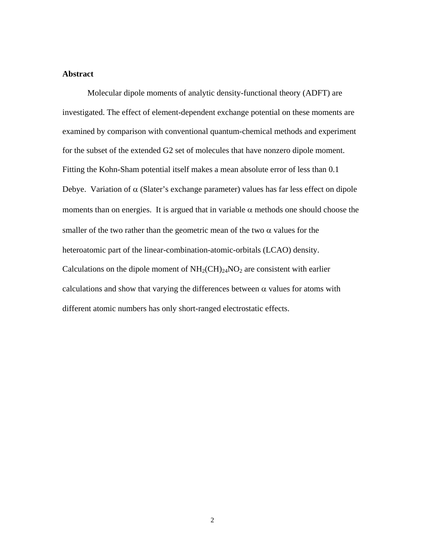## **Abstract**

Molecular dipole moments of analytic density-functional theory (ADFT) are investigated. The effect of element-dependent exchange potential on these moments are examined by comparison with conventional quantum-chemical methods and experiment for the subset of the extended G2 set of molecules that have nonzero dipole moment. Fitting the Kohn-Sham potential itself makes a mean absolute error of less than 0.1 Debye. Variation of  $\alpha$  (Slater's exchange parameter) values has far less effect on dipole moments than on energies. It is argued that in variable  $\alpha$  methods one should choose the smaller of the two rather than the geometric mean of the two  $\alpha$  values for the heteroatomic part of the linear-combination-atomic-orbitals (LCAO) density. Calculations on the dipole moment of  $NH<sub>2</sub>(CH)<sub>24</sub>NO<sub>2</sub>$  are consistent with earlier calculations and show that varying the differences between  $\alpha$  values for atoms with different atomic numbers has only short-ranged electrostatic effects.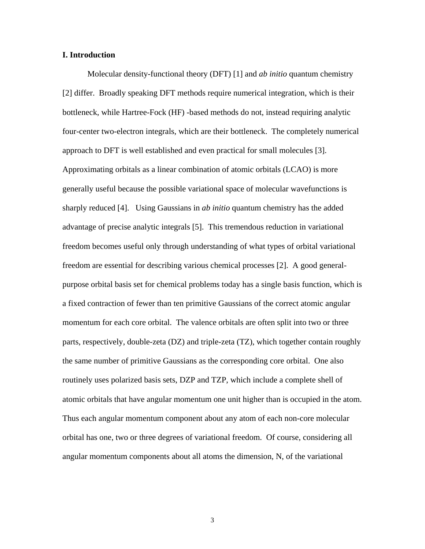### **I. Introduction**

<span id="page-3-1"></span><span id="page-3-0"></span>Molecular density-functional theory (DFT) [\[1\]](#page-32-0) and *ab initio* quantum chemistry [[2\]](#page-32-1) differ. Broadly speaking DFT methods require numerical integration, which is their bottleneck, while Hartree-Fock (HF) -based methods do not, instead requiring analytic four-center two-electron integrals, which are their bottleneck. The completely numerical approach to DFT is well established and even practical for small molecules [\[3\]](#page-32-2). Approximating orbitals as a linear combination of atomic orbitals (LCAO) is more generally useful because the possible variational space of molecular wavefunctions is sharply reduced [\[4\]](#page-32-3). Using Gaussians in *ab initio* quantum chemistry has the added advantage of precise analytic integrals [[5\]](#page-32-4). This tremendous reduction in variational freedom becomes useful only through understanding of what types of orbital variational freedom are essential for describing various chemical processes [[2\]](#page-3-0). A good generalpurpose orbital basis set for chemical problems today has a single basis function, which is a fixed contraction of fewer than ten primitive Gaussians of the correct atomic angular momentum for each core orbital. The valence orbitals are often split into two or three parts, respectively, double-zeta (DZ) and triple-zeta (TZ), which together contain roughly the same number of primitive Gaussians as the corresponding core orbital. One also routinely uses polarized basis sets, DZP and TZP, which include a complete shell of atomic orbitals that have angular momentum one unit higher than is occupied in the atom. Thus each angular momentum component about any atom of each non-core molecular orbital has one, two or three degrees of variational freedom. Of course, considering all angular momentum components about all atoms the dimension, N, of the variational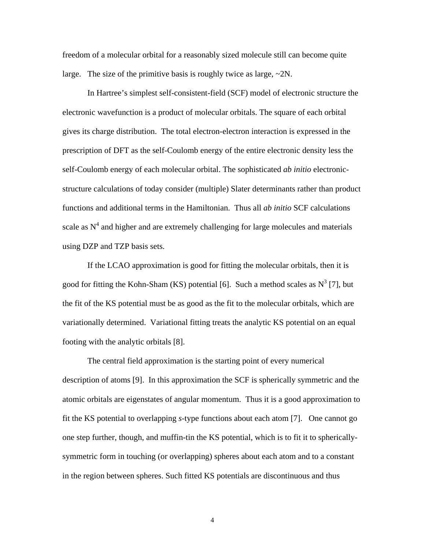freedom of a molecular orbital for a reasonably sized molecule still can become quite large. The size of the primitive basis is roughly twice as large,  $\sim$ 2N.

In Hartree's simplest self-consistent-field (SCF) model of electronic structure the electronic wavefunction is a product of molecular orbitals. The square of each orbital gives its charge distribution. The total electron-electron interaction is expressed in the prescription of DFT as the self-Coulomb energy of the entire electronic density less the self-Coulomb energy of each molecular orbital. The sophisticated *ab initio* electronicstructure calculations of today consider (multiple) Slater determinants rather than product functions and additional terms in the Hamiltonian. Thus all *ab initio* SCF calculations scale as  $N<sup>4</sup>$  and higher and are extremely challenging for large molecules and materials using DZP and TZP basis sets.

<span id="page-4-1"></span><span id="page-4-0"></span>If the LCAO approximation is good for fitting the molecular orbitals, then it is good for fitting the Kohn-Sham (KS) potential [\[6\]](#page-32-5). Such a method scales as  $N^3$  [[7\]](#page-32-6), but the fit of the KS potential must be as good as the fit to the molecular orbitals, which are variationally determined. Variational fitting treats the analytic KS potential on an equal footing with the analytic orbitals [[8\]](#page-32-7).

<span id="page-4-2"></span>The central field approximation is the starting point of every numerical description of atoms [[9\]](#page-32-8). In this approximation the SCF is spherically symmetric and the atomic orbitals are eigenstates of angular momentum. Thus it is a good approximation to fit the KS potential to overlapping *s*-type functions about each atom [\[7\]](#page-4-0). One cannot go one step further, though, and muffin-tin the KS potential, which is to fit it to sphericallysymmetric form in touching (or overlapping) spheres about each atom and to a constant in the region between spheres. Such fitted KS potentials are discontinuous and thus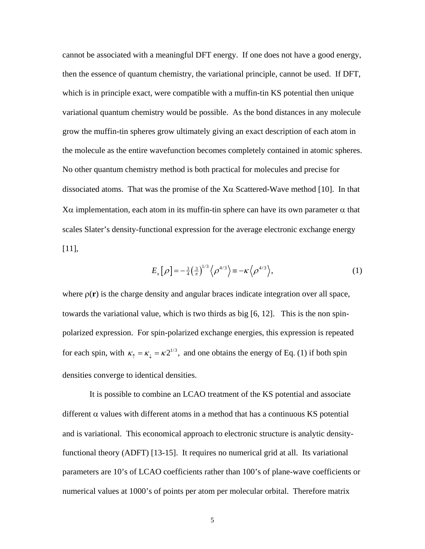cannot be associated with a meaningful DFT energy. If one does not have a good energy, then the essence of quantum chemistry, the variational principle, cannot be used. If DFT, which is in principle exact, were compatible with a muffin-tin KS potential then unique variational quantum chemistry would be possible. As the bond distances in any molecule grow the muffin-tin spheres grow ultimately giving an exact description of each atom in the molecule as the entire wavefunction becomes completely contained in atomic spheres. No other quantum chemistry method is both practical for molecules and precise for dissociated atoms. That was the promise of the  $X\alpha$  Scattered-Wave method [[10\]](#page-32-9). In that Xα implementation, each atom in its muffin-tin sphere can have its own parameter  $α$  that scales Slater's density-functional expression for the average electronic exchange energy [[11\]](#page-32-10),

<span id="page-5-3"></span><span id="page-5-0"></span>
$$
E_x[\rho] = -\frac{3}{4} \left(\frac{3}{\pi}\right)^{1/3} \left\langle \rho^{4/3} \right\rangle = -\kappa \left\langle \rho^{4/3} \right\rangle,\tag{1}
$$

where  $\rho(\mathbf{r})$  is the charge density and angular braces indicate integration over all space, towards the variational value, which is two thirds as big [[6,](#page-4-1) [12\]](#page-32-11). This is the non spinpolarized expression. For spin-polarized exchange energies, this expression is repeated for each spin, with  $\kappa_{\uparrow} = \kappa_{\downarrow} = \kappa 2^{1/3}$ , and one obtains the energy of Eq. [\(1\)](#page-5-0) if both spin densities converge to identical densities.

<span id="page-5-4"></span><span id="page-5-2"></span><span id="page-5-1"></span> It is possible to combine an LCAO treatment of the KS potential and associate different  $\alpha$  values with different atoms in a method that has a continuous KS potential and is variational. This economical approach to electronic structure is analytic densityfunctional theory (ADFT) [\[13](#page-32-12)[-](#page-32-13)[15\]](#page-32-14). It requires no numerical grid at all. Its variational parameters are 10's of LCAO coefficients rather than 100's of plane-wave coefficients or numerical values at 1000's of points per atom per molecular orbital. Therefore matrix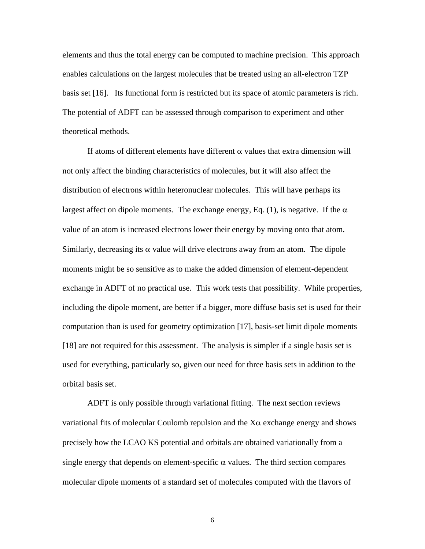elements and thus the total energy can be computed to machine precision. This approach enables calculations on the largest molecules that be treated using an all-electron TZP basis set [\[16\]](#page-32-15). Its functional form is restricted but its space of atomic parameters is rich. The potential of ADFT can be assessed through comparison to experiment and other theoretical methods.

If atoms of different elements have different  $\alpha$  values that extra dimension will not only affect the binding characteristics of molecules, but it will also affect the distribution of electrons within heteronuclear molecules. This will have perhaps its largest affect on dipole moments. The exchange energy, Eq. (1), is negative. If the  $\alpha$ value of an atom is increased electrons lower their energy by moving onto that atom. Similarly, decreasing its  $\alpha$  value will drive electrons away from an atom. The dipole moments might be so sensitive as to make the added dimension of element-dependent exchange in ADFT of no practical use. This work tests that possibility. While properties, including the dipole moment, are better if a bigger, more diffuse basis set is used for their computation than is used for geometry optimization [[17\]](#page-32-16), basis-set limit dipole moments [[18\]](#page-32-17) are not required for this assessment. The analysis is simpler if a single basis set is used for everything, particularly so, given our need for three basis sets in addition to the orbital basis set.

ADFT is only possible through variational fitting. The next section reviews variational fits of molecular Coulomb repulsion and the  $X\alpha$  exchange energy and shows precisely how the LCAO KS potential and orbitals are obtained variationally from a single energy that depends on element-specific  $\alpha$  values. The third section compares molecular dipole moments of a standard set of molecules computed with the flavors of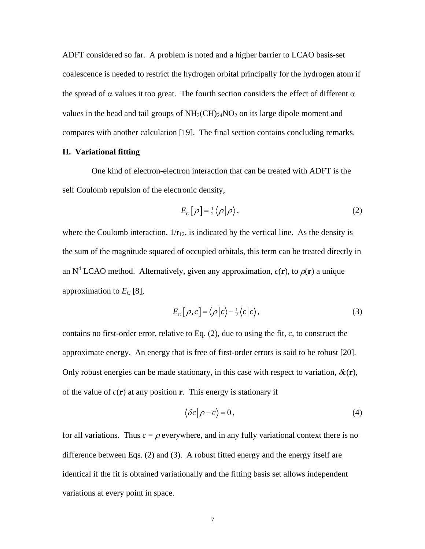ADFT considered so far. A problem is noted and a higher barrier to LCAO basis-set coalescence is needed to restrict the hydrogen orbital principally for the hydrogen atom if the spread of  $\alpha$  values it too great. The fourth section considers the effect of different  $\alpha$ values in the head and tail groups of  $NH<sub>2</sub>(CH)<sub>24</sub>NO<sub>2</sub>$  on its large dipole moment and compares with another calculation [\[19\]](#page-32-18). The final section contains concluding remarks.

#### **II. Variational fitting**

 One kind of electron-electron interaction that can be treated with ADFT is the self Coulomb repulsion of the electronic density,

<span id="page-7-2"></span><span id="page-7-0"></span>
$$
E_c[\rho] = \frac{1}{2} \langle \rho | \rho \rangle,\tag{2}
$$

where the Coulomb interaction,  $1/r_{12}$ , is indicated by the vertical line. As the density is the sum of the magnitude squared of occupied orbitals, this term can be treated directly in an N<sup>4</sup> LCAO method. Alternatively, given any approximation,  $c(\mathbf{r})$ , to  $\rho(\mathbf{r})$  a unique approximation to  $E_C$  [\[8\]](#page-4-2),

<span id="page-7-1"></span>
$$
E_c\left[\rho, c\right] = \langle \rho | c \rangle - \frac{1}{2} \langle c | c \rangle,\tag{3}
$$

contains no first-order error, relative to Eq. [\(2\),](#page-7-0) due to using the fit, *c*, to construct the approximate energy. An energy that is free of first-order errors is said to be robust [\[20\]](#page-32-19). Only robust energies can be made stationary, in this case with respect to variation,  $\delta c(\mathbf{r})$ , of the value of  $c(\mathbf{r})$  at any position **r**. This energy is stationary if

$$
\langle \delta c | \rho - c \rangle = 0, \tag{4}
$$

for all variations. Thus  $c = \rho$  everywhere, and in any fully variational context there is no difference between Eqs. [\(2\)](#page-7-0) and [\(3\).](#page-7-1) A robust fitted energy and the energy itself are identical if the fit is obtained variationally and the fitting basis set allows independent variations at every point in space.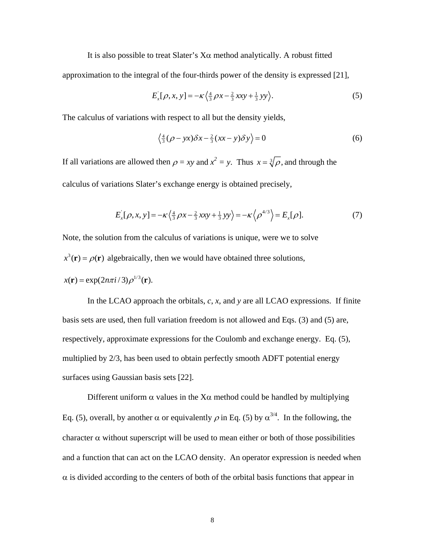It is also possible to treat Slater's  $X\alpha$  method analytically. A robust fitted

approximation to the integral of the four-thirds power of the density is expressed [\[21\]](#page-32-20),

$$
E_x[\rho, x, y] = -\kappa \left\langle \frac{4}{3} \rho x - \frac{2}{3} x x y + \frac{1}{3} y y \right\rangle.
$$
 (5)

The calculus of variations with respect to all but the density yields,

<span id="page-8-0"></span>
$$
\left\langle \frac{4}{3}(\rho - yx)\delta x - \frac{2}{3}(xx - y)\delta y \right\rangle = 0
$$
 (6)

If all variations are allowed then  $\rho = xy$  and  $x^2 = y$ . Thus  $x = \sqrt[3]{\rho}$ , and through the calculus of variations Slater's exchange energy is obtained precisely,

$$
E_x[\rho, x, y] = -\kappa \left\langle \frac{4}{3} \rho x - \frac{2}{3} x x y + \frac{1}{3} y y \right\rangle = -\kappa \left\langle \rho^{4/3} \right\rangle = E_x[\rho]. \tag{7}
$$

Note, the solution from the calculus of variations is unique, were we to solve

 $x^3(\mathbf{r}) = \rho(\mathbf{r})$  algebraically, then we would have obtained three solutions,

$$
x(\mathbf{r}) = \exp(2n\pi i/3)\rho^{1/3}(\mathbf{r}).
$$

 In the LCAO approach the orbitals, *c*, *x*, and *y* are all LCAO expressions. If finite basis sets are used, then full variation freedom is not allowed and Eqs. [\(3\)](#page-7-1) and [\(5\)](#page-8-0) are, respectively, approximate expressions for the Coulomb and exchange energy. Eq. [\(5\),](#page-8-0) multiplied by 2/3, has been used to obtain perfectly smooth ADFT potential energy surfaces using Gaussian basis sets [\[22\]](#page-32-21).

Different uniform  $\alpha$  values in the X $\alpha$  method could be handled by multiplying Eq. [\(5\),](#page-8-0) overall, by another  $\alpha$  or equivalently  $\rho$  in Eq. [\(5\)](#page-8-0) by  $\alpha^{3/4}$ . In the following, the character  $\alpha$  without superscript will be used to mean either or both of those possibilities and a function that can act on the LCAO density. An operator expression is needed when  $\alpha$  is divided according to the centers of both of the orbital basis functions that appear in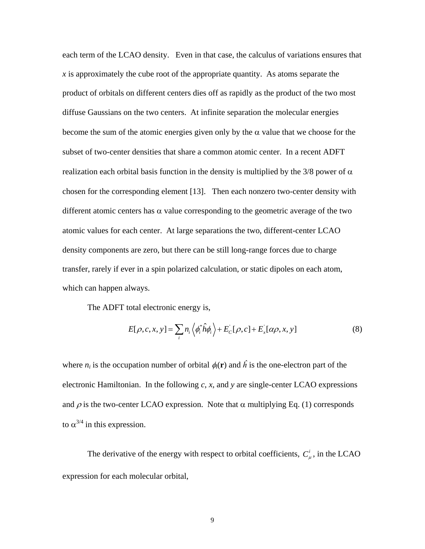each term of the LCAO density. Even in that case, the calculus of variations ensures that *x* is approximately the cube root of the appropriate quantity. As atoms separate the product of orbitals on different centers dies off as rapidly as the product of the two most diffuse Gaussians on the two centers. At infinite separation the molecular energies become the sum of the atomic energies given only by the  $\alpha$  value that we choose for the subset of two-center densities that share a common atomic center. In a recent ADFT realization each orbital basis function in the density is multiplied by the 3/8 power of  $\alpha$ chosen for the corresponding element [\[13\]](#page-5-1). Then each nonzero two-center density with different atomic centers has  $\alpha$  value corresponding to the geometric average of the two atomic values for each center. At large separations the two, different-center LCAO density components are zero, but there can be still long-range forces due to charge transfer, rarely if ever in a spin polarized calculation, or static dipoles on each atom, which can happen always.

The ADFT total electronic energy is,

$$
E[\rho, c, x, y] = \sum_{i} n_i \langle \phi_i^* \hat{h} \phi_i \rangle + E_c[\rho, c] + E_x[\alpha \rho, x, y]
$$
(8)

where  $n_i$  is the occupation number of orbital  $\phi_i(\mathbf{r})$  and  $\hat{h}$  is the one-electron part of the electronic Hamiltonian. In the following *c*, *x*, and *y* are single-center LCAO expressions and  $\rho$  is the two-center LCAO expression. Note that  $\alpha$  multiplying Eq. (1) corresponds to  $\alpha^{3/4}$  in this expression.

The derivative of the energy with respect to orbital coefficients,  $C_{\mu}^{i}$ , in the LCAO expression for each molecular orbital,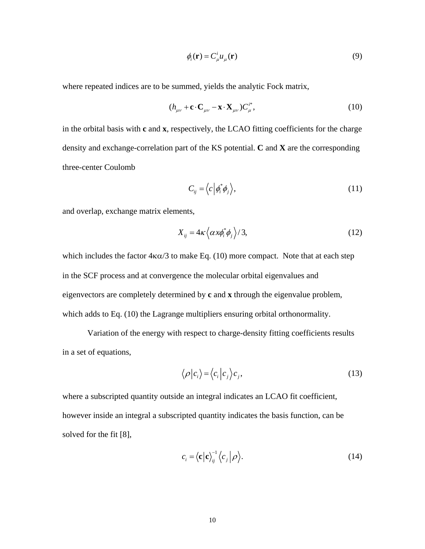<span id="page-10-0"></span>
$$
\phi_i(\mathbf{r}) = C^i_{\mu} u_{\mu}(\mathbf{r})
$$
\n(9)

where repeated indices are to be summed, yields the analytic Fock matrix,

$$
(h_{\mu\nu} + \mathbf{c} \cdot \mathbf{C}_{\mu\nu} - \mathbf{x} \cdot \mathbf{X}_{\mu\nu}) C_{\mu}^{i*}, \qquad (10)
$$

in the orbital basis with **c** and **x**, respectively, the LCAO fitting coefficients for the charge density and exchange-correlation part of the KS potential. **C** and **X** are the corresponding three-center Coulomb

$$
C_{ij} = \langle c | \phi_i^* \phi_j \rangle, \qquad (11)
$$

and overlap, exchange matrix elements,

$$
X_{ij} = 4\kappa \left\langle \alpha x \phi_i^* \phi_j \right\rangle / 3, \tag{12}
$$

which includes the factor  $4\kappa\alpha/3$  to make Eq. [\(10\)](#page-10-0) more compact. Note that at each step in the SCF process and at convergence the molecular orbital eigenvalues and eigenvectors are completely determined by **c** and **x** through the eigenvalue problem, which adds to Eq. [\(10\)](#page-10-0) the Lagrange multipliers ensuring orbital orthonormality.

 Variation of the energy with respect to charge-density fitting coefficients results in a set of equations,

$$
\langle \rho | c_i \rangle = \langle c_i | c_j \rangle c_j, \qquad (13)
$$

where a subscripted quantity outside an integral indicates an LCAO fit coefficient, however inside an integral a subscripted quantity indicates the basis function, can be solved for the fit [\[8\]](#page-4-2),

$$
c_i = \langle \mathbf{c} | \mathbf{c} \rangle_{ij}^{-1} \langle c_j | \rho \rangle. \tag{14}
$$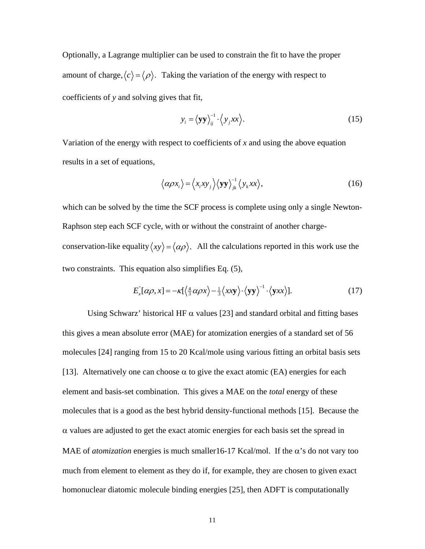Optionally, a Lagrange multiplier can be used to constrain the fit to have the proper amount of charge,  $\langle c \rangle = \langle \rho \rangle$ . Taking the variation of the energy with respect to coefficients of *y* and solving gives that fit,

$$
y_i = \langle \mathbf{y} \mathbf{y} \rangle_{ij}^{-1} \cdot \langle y_j x x \rangle.
$$
 (15)

Variation of the energy with respect to coefficients of *x* and using the above equation results in a set of equations,

$$
\left\langle \alpha \rho x_i \right\rangle = \left\langle x_i x y_j \right\rangle \left\langle \mathbf{y} \mathbf{y} \right\rangle_{jk}^{-1} \left\langle y_k x x \right\rangle, \tag{16}
$$

which can be solved by the time the SCF process is complete using only a single Newton-Raphson step each SCF cycle, with or without the constraint of another chargeconservation-like equality  $\langle xy \rangle = \langle \alpha \rho \rangle$ . All the calculations reported in this work use the two constraints. This equation also simplifies Eq. [\(5\),](#page-8-0)

<span id="page-11-0"></span>
$$
E_x^{\dagger}[\alpha \rho, x] = -\kappa \left[ \left\langle \frac{4}{3} \alpha \rho x \right\rangle - \frac{1}{3} \left\langle x x y \right\rangle \cdot \left\langle y y \right\rangle^{-1} \cdot \left\langle y x x \right\rangle \right]. \tag{17}
$$

Using Schwarz' historical HF  $\alpha$  values [\[23\]](#page-32-22) and standard orbital and fitting bases this gives a mean absolute error (MAE) for atomization energies of a standard set of 56 molecules [[24\]](#page-32-23) ranging from 15 to 20 Kcal/mole using various fitting an orbital basis sets [[13\]](#page-5-1). Alternatively one can choose  $\alpha$  to give the exact atomic (EA) energies for each element and basis-set combination. This gives a MAE on the *total* energy of these molecules that is a good as the best hybrid density-functional methods [\[15\]](#page-5-2). Because the  $\alpha$  values are adjusted to get the exact atomic energies for each basis set the spread in MAE of *atomization* energies is much smaller16-17 Kcal/mol. If the  $\alpha$ 's do not vary too much from element to element as they do if, for example, they are chosen to given exact homonuclear diatomic molecule binding energies [\[25\]](#page-32-24), then ADFT is computationally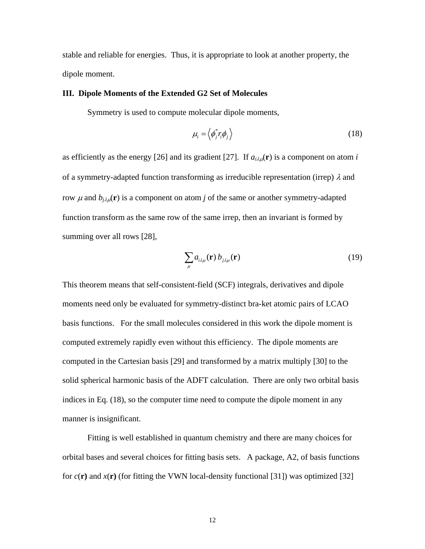stable and reliable for energies. Thus, it is appropriate to look at another property, the dipole moment.

### **III. Dipole Moments of the Extended G2 Set of Molecules**

Symmetry is used to compute molecular dipole moments,

<span id="page-12-1"></span><span id="page-12-0"></span>
$$
\mu_i = \left\langle \phi_j^* r_i \phi_j \right\rangle \tag{18}
$$

as efficiently as the energy [[26\]](#page-32-25) and its gradient [\[27\]](#page-32-26). If  $a_{i\lambda u}(\mathbf{r})$  is a component on atom *i* of a symmetry-adapted function transforming as irreducible representation (irrep)  $\lambda$  and row  $\mu$  and  $b_{i\lambda\mu}(\mathbf{r})$  is a component on atom *j* of the same or another symmetry-adapted function transform as the same row of the same irrep, then an invariant is formed by summing over all rows [\[28\]](#page-32-27),

<span id="page-12-3"></span><span id="page-12-2"></span>
$$
\sum_{\mu} a_{i\lambda\mu}(\mathbf{r}) b_{j\lambda\mu}(\mathbf{r})
$$
 (19)

This theorem means that self-consistent-field (SCF) integrals, derivatives and dipole moments need only be evaluated for symmetry-distinct bra-ket atomic pairs of LCAO basis functions. For the small molecules considered in this work the dipole moment is computed extremely rapidly even without this efficiency. The dipole moments are computed in the Cartesian basis [[29\]](#page-32-28) and transformed by a matrix multiply [\[30\]](#page-32-29) to the solid spherical harmonic basis of the ADFT calculation. There are only two orbital basis indices in Eq. [\(18\),](#page-12-0) so the computer time need to compute the dipole moment in any manner is insignificant.

 Fitting is well established in quantum chemistry and there are many choices for orbital bases and several choices for fitting basis sets. A package, A2, of basis functions for  $c(\mathbf{r})$  and  $x(\mathbf{r})$  (for fitting the VWN local-density functional [[31\]](#page-32-30)) was optimized [\[32\]](#page-32-12)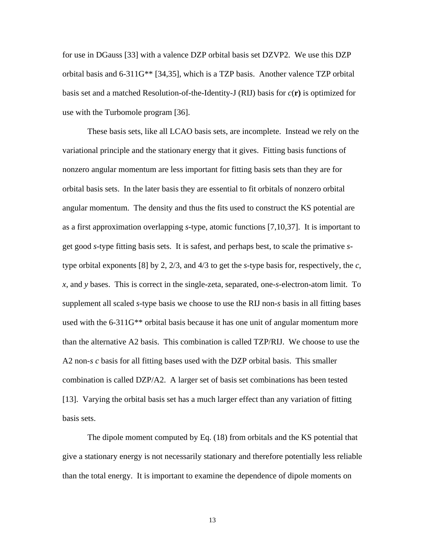<span id="page-13-1"></span><span id="page-13-0"></span>for use in DGauss [\[33\]](#page-32-13) with a valence DZP orbital basis set DZVP2. We use this DZP orbital basis and 6-311G\*\* [\[34,](#page-32-14)[35\]](#page-32-15), which is a TZP basis. Another valence TZP orbital basis set and a matched Resolution-of-the-Identity-J (RIJ) basis for *c*(**r)** is optimized for use with the Turbomole program [[36\]](#page-32-16).

<span id="page-13-2"></span> These basis sets, like all LCAO basis sets, are incomplete. Instead we rely on the variational principle and the stationary energy that it gives. Fitting basis functions of nonzero angular momentum are less important for fitting basis sets than they are for orbital basis sets. In the later basis they are essential to fit orbitals of nonzero orbital angular momentum. The density and thus the fits used to construct the KS potential are as a first approximation overlapping *s*-type, atomic functions [\[7,](#page-4-0)[10,](#page-5-3)[37\]](#page-32-31). It is important to get good *s*-type fitting basis sets. It is safest, and perhaps best, to scale the primative *s*type orbital exponents [\[8\]](#page-4-2) by 2, 2/3, and 4/3 to get the *s*-type basis for, respectively, the *c*, *x*, and *y* bases. This is correct in the single-zeta, separated, one-*s-*electron-atom limit. To supplement all scaled *s*-type basis we choose to use the RIJ non-*s* basis in all fitting bases used with the 6-311G\*\* orbital basis because it has one unit of angular momentum more than the alternative A2 basis. This combination is called TZP/RIJ. We choose to use the A2 non-*s c* basis for all fitting bases used with the DZP orbital basis. This smaller combination is called DZP/A2. A larger set of basis set combinations has been tested [[13\]](#page-5-1). Varying the orbital basis set has a much larger effect than any variation of fitting basis sets.

 The dipole moment computed by Eq. [\(18\)](#page-12-0) from orbitals and the KS potential that give a stationary energy is not necessarily stationary and therefore potentially less reliable than the total energy. It is important to examine the dependence of dipole moments on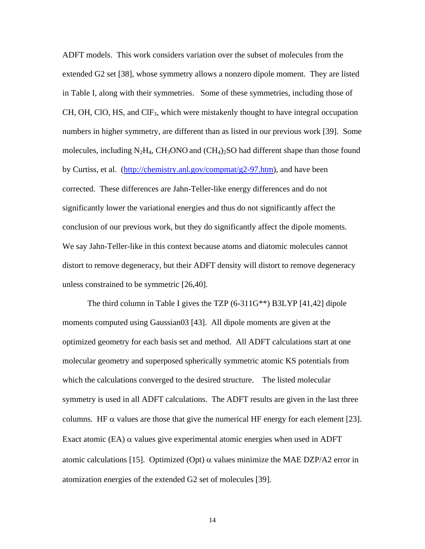<span id="page-14-0"></span>ADFT models. This work considers variation over the subset of molecules from the extended G2 set [\[38\]](#page-32-18), whose symmetry allows a nonzero dipole moment. They are listed in Table I, along with their symmetries. Some of these symmetries, including those of  $CH$ , OH, ClO, HS, and ClF<sub>3</sub>, which were mistakenly thought to have integral occupation numbers in higher symmetry, are different than as listed in our previous work [\[39\]](#page-32-19). Some molecules, including  $N_2H_4$ , CH<sub>3</sub>ONO and (CH<sub>4</sub>)<sub>2</sub>SO had different shape than those found by Curtiss, et al. [\(http://chemistry.anl.gov/compmat/g2-97.htm\)](http://chemistry.anl.gov/compmat/g2-97.htm), and have been corrected. These differences are Jahn-Teller-like energy differences and do not significantly lower the variational energies and thus do not significantly affect the conclusion of our previous work, but they do significantly affect the dipole moments. We say Jahn-Teller-like in this context because atoms and diatomic molecules cannot distort to remove degeneracy, but their ADFT density will distort to remove degeneracy unless constrained to be symmetric [[26,](#page-12-1)[40\]](#page-32-20).

<span id="page-14-1"></span>The third column in Table I gives the TZP (6-311G\*\*) B3LYP [[41,](#page-32-21)[42\]](#page-32-32) dipole moments computed using Gaussian03 [\[43\]](#page-32-22). All dipole moments are given at the optimized geometry for each basis set and method. All ADFT calculations start at one molecular geometry and superposed spherically symmetric atomic KS potentials from which the calculations converged to the desired structure. The listed molecular symmetry is used in all ADFT calculations. The ADFT results are given in the last three columns. HF  $\alpha$  values are those that give the numerical HF energy for each element [\[23\]](#page-11-0). Exact atomic (EA)  $\alpha$  values give experimental atomic energies when used in ADFT atomic calculations [[15\]](#page-5-2). Optimized (Opt)  $\alpha$  values minimize the MAE DZP/A2 error in atomization energies of the extended G2 set of molecules [\[39\]](#page-14-0).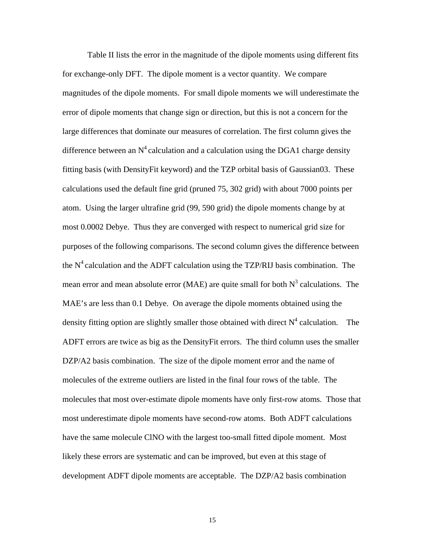Table II lists the error in the magnitude of the dipole moments using different fits for exchange-only DFT. The dipole moment is a vector quantity. We compare magnitudes of the dipole moments. For small dipole moments we will underestimate the error of dipole moments that change sign or direction, but this is not a concern for the large differences that dominate our measures of correlation. The first column gives the difference between an  $N^4$  calculation and a calculation using the DGA1 charge density fitting basis (with DensityFit keyword) and the TZP orbital basis of Gaussian03. These calculations used the default fine grid (pruned 75, 302 grid) with about 7000 points per atom. Using the larger ultrafine grid (99, 590 grid) the dipole moments change by at most 0.0002 Debye. Thus they are converged with respect to numerical grid size for purposes of the following comparisons. The second column gives the difference between the  $N^4$  calculation and the ADFT calculation using the TZP/RIJ basis combination. The mean error and mean absolute error (MAE) are quite small for both  $N<sup>3</sup>$  calculations. The MAE's are less than 0.1 Debye. On average the dipole moments obtained using the density fitting option are slightly smaller those obtained with direct  $N^4$  calculation. The ADFT errors are twice as big as the DensityFit errors. The third column uses the smaller DZP/A2 basis combination. The size of the dipole moment error and the name of molecules of the extreme outliers are listed in the final four rows of the table. The molecules that most over-estimate dipole moments have only first-row atoms. Those that most underestimate dipole moments have second-row atoms. Both ADFT calculations have the same molecule ClNO with the largest too-small fitted dipole moment. Most likely these errors are systematic and can be improved, but even at this stage of development ADFT dipole moments are acceptable. The DZP/A2 basis combination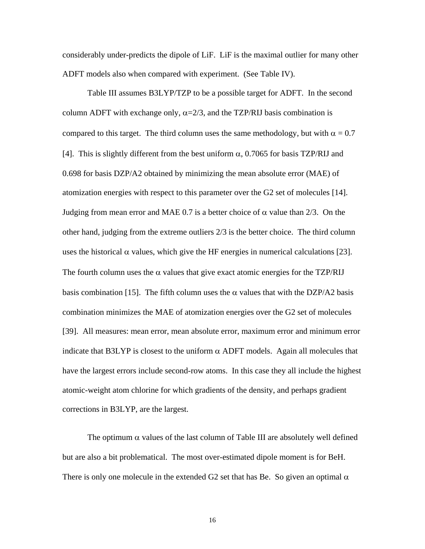considerably under-predicts the dipole of LiF. LiF is the maximal outlier for many other ADFT models also when compared with experiment. (See Table IV).

Table III assumes B3LYP/TZP to be a possible target for ADFT. In the second column ADFT with exchange only,  $\alpha = 2/3$ , and the TZP/RIJ basis combination is compared to this target. The third column uses the same methodology, but with  $\alpha = 0.7$ [[4\]](#page-3-1). This is slightly different from the best uniform  $\alpha$ , 0.7065 for basis TZP/RIJ and 0.698 for basis DZP/A2 obtained by minimizing the mean absolute error (MAE) of atomization energies with respect to this parameter over the G2 set of molecules [\[14\]](#page-5-4). Judging from mean error and MAE 0.7 is a better choice of  $\alpha$  value than 2/3. On the other hand, judging from the extreme outliers 2/3 is the better choice. The third column uses the historical  $\alpha$  values, which give the HF energies in numerical calculations [\[23\]](#page-11-0). The fourth column uses the  $\alpha$  values that give exact atomic energies for the TZP/RIJ basis combination [[15\]](#page-5-2). The fifth column uses the  $\alpha$  values that with the DZP/A2 basis combination minimizes the MAE of atomization energies over the G2 set of molecules [[39\]](#page-14-0). All measures: mean error, mean absolute error, maximum error and minimum error indicate that B3LYP is closest to the uniform  $\alpha$  ADFT models. Again all molecules that have the largest errors include second-row atoms. In this case they all include the highest atomic-weight atom chlorine for which gradients of the density, and perhaps gradient corrections in B3LYP, are the largest.

The optimum  $\alpha$  values of the last column of Table III are absolutely well defined but are also a bit problematical. The most over-estimated dipole moment is for BeH. There is only one molecule in the extended G2 set that has Be. So given an optimal  $\alpha$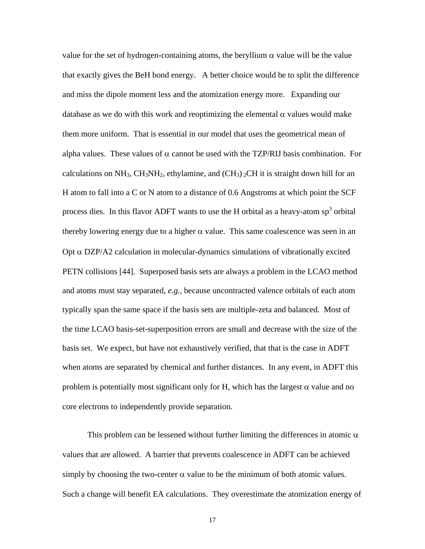value for the set of hydrogen-containing atoms, the beryllium α value will be the value that exactly gives the BeH bond energy. A better choice would be to split the difference and miss the dipole moment less and the atomization energy more. Expanding our database as we do with this work and reoptimizing the elemental  $\alpha$  values would make them more uniform. That is essential in our model that uses the geometrical mean of alpha values. These values of  $\alpha$  cannot be used with the TZP/RIJ basis combination. For calculations on NH<sub>3</sub>, CH<sub>3</sub>NH<sub>2</sub>, ethylamine, and  $(CH_3)$ <sub>2</sub>CH it is straight down hill for an H atom to fall into a C or N atom to a distance of 0.6 Angstroms at which point the SCF process dies. In this flavor ADFT wants to use the H orbital as a heavy-atom  $sp<sup>3</sup>$  orbital thereby lowering energy due to a higher  $\alpha$  value. This same coalescence was seen in an Opt  $\alpha$  DZP/A2 calculation in molecular-dynamics simulations of vibrationally excited PETN collisions [\[44\]](#page-32-17). Superposed basis sets are always a problem in the LCAO method and atoms must stay separated, *e.g.,* because uncontracted valence orbitals of each atom typically span the same space if the basis sets are multiple-zeta and balanced. Most of the time LCAO basis-set-superposition errors are small and decrease with the size of the basis set. We expect, but have not exhaustively verified, that that is the case in ADFT when atoms are separated by chemical and further distances. In any event, in ADFT this problem is potentially most significant only for H, which has the largest  $\alpha$  value and no core electrons to independently provide separation.

This problem can be lessened without further limiting the differences in atomic  $\alpha$ values that are allowed. A barrier that prevents coalescence in ADFT can be achieved simply by choosing the two-center  $\alpha$  value to be the minimum of both atomic values. Such a change will benefit EA calculations. They overestimate the atomization energy of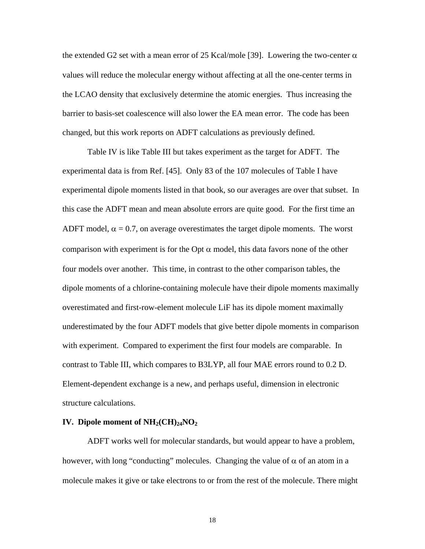the extended G2 set with a mean error of 25 Kcal/mole [[39\]](#page-14-0). Lowering the two-center  $\alpha$ values will reduce the molecular energy without affecting at all the one-center terms in the LCAO density that exclusively determine the atomic energies. Thus increasing the barrier to basis-set coalescence will also lower the EA mean error. The code has been changed, but this work reports on ADFT calculations as previously defined.

<span id="page-18-0"></span>Table IV is like Table III but takes experiment as the target for ADFT. The experimental data is from Ref. [\[45\]](#page-32-31). Only 83 of the 107 molecules of Table I have experimental dipole moments listed in that book, so our averages are over that subset. In this case the ADFT mean and mean absolute errors are quite good. For the first time an ADFT model,  $\alpha = 0.7$ , on average overestimates the target dipole moments. The worst comparison with experiment is for the Opt  $\alpha$  model, this data favors none of the other four models over another. This time, in contrast to the other comparison tables, the dipole moments of a chlorine-containing molecule have their dipole moments maximally overestimated and first-row-element molecule LiF has its dipole moment maximally underestimated by the four ADFT models that give better dipole moments in comparison with experiment. Compared to experiment the first four models are comparable. In contrast to Table III, which compares to B3LYP, all four MAE errors round to 0.2 D. Element-dependent exchange is a new, and perhaps useful, dimension in electronic structure calculations.

#### **IV.** Dipole moment of  $NH_2(CH)_{24}NO_2$

ADFT works well for molecular standards, but would appear to have a problem, however, with long "conducting" molecules. Changing the value of  $\alpha$  of an atom in a molecule makes it give or take electrons to or from the rest of the molecule. There might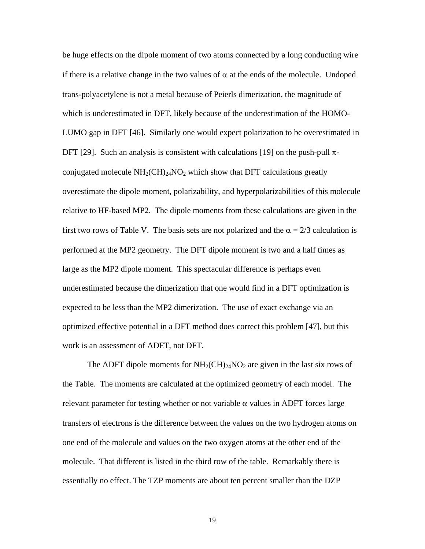be huge effects on the dipole moment of two atoms connected by a long conducting wire if there is a relative change in the two values of  $\alpha$  at the ends of the molecule. Undoped trans-polyacetylene is not a metal because of Peierls dimerization, the magnitude of which is underestimated in DFT, likely because of the underestimation of the HOMO-LUMO gap in DFT [[46\]](#page-32-33). Similarly one would expect polarization to be overestimated in DFT [\[29\]](#page-12-2). Such an analysis is consistent with calculations [\[19\]](#page-7-2) on the push-pull  $\pi$ conjugated molecule  $NH<sub>2</sub>(CH)<sub>24</sub>NO<sub>2</sub>$  which show that DFT calculations greatly overestimate the dipole moment, polarizability, and hyperpolarizabilities of this molecule relative to HF-based MP2. The dipole moments from these calculations are given in the first two rows of Table V. The basis sets are not polarized and the  $\alpha = 2/3$  calculation is performed at the MP2 geometry. The DFT dipole moment is two and a half times as large as the MP2 dipole moment. This spectacular difference is perhaps even underestimated because the dimerization that one would find in a DFT optimization is expected to be less than the MP2 dimerization. The use of exact exchange via an optimized effective potential in a DFT method does correct this problem [[47\]](#page-32-19), but this work is an assessment of ADFT, not DFT.

The ADFT dipole moments for  $NH<sub>2</sub>(CH)<sub>24</sub>NO<sub>2</sub>$  are given in the last six rows of the Table. The moments are calculated at the optimized geometry of each model. The relevant parameter for testing whether or not variable  $\alpha$  values in ADFT forces large transfers of electrons is the difference between the values on the two hydrogen atoms on one end of the molecule and values on the two oxygen atoms at the other end of the molecule. That different is listed in the third row of the table. Remarkably there is essentially no effect. The TZP moments are about ten percent smaller than the DZP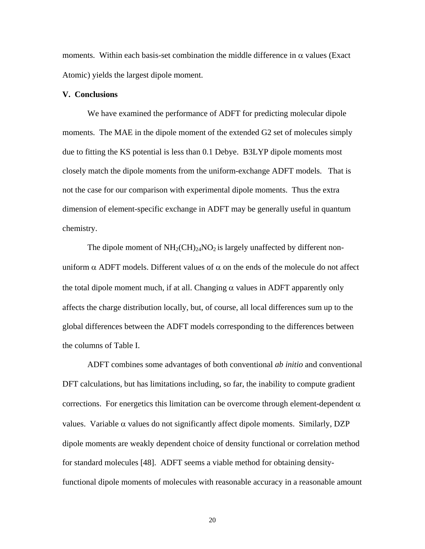moments. Within each basis-set combination the middle difference in  $\alpha$  values (Exact Atomic) yields the largest dipole moment.

### **V. Conclusions**

 We have examined the performance of ADFT for predicting molecular dipole moments. The MAE in the dipole moment of the extended G2 set of molecules simply due to fitting the KS potential is less than 0.1 Debye. B3LYP dipole moments most closely match the dipole moments from the uniform-exchange ADFT models. That is not the case for our comparison with experimental dipole moments. Thus the extra dimension of element-specific exchange in ADFT may be generally useful in quantum chemistry.

The dipole moment of  $NH<sub>2</sub>(CH)<sub>24</sub>NO<sub>2</sub>$  is largely unaffected by different nonuniform  $\alpha$  ADFT models. Different values of  $\alpha$  on the ends of the molecule do not affect the total dipole moment much, if at all. Changing  $\alpha$  values in ADFT apparently only affects the charge distribution locally, but, of course, all local differences sum up to the global differences between the ADFT models corresponding to the differences between the columns of Table I.

ADFT combines some advantages of both conventional *ab initio* and conventional DFT calculations, but has limitations including, so far, the inability to compute gradient corrections. For energetics this limitation can be overcome through element-dependent  $\alpha$ values. Variable  $\alpha$  values do not significantly affect dipole moments. Similarly, DZP dipole moments are weakly dependent choice of density functional or correlation method for standard molecules [\[48\]](#page-32-21). ADFT seems a viable method for obtaining densityfunctional dipole moments of molecules with reasonable accuracy in a reasonable amount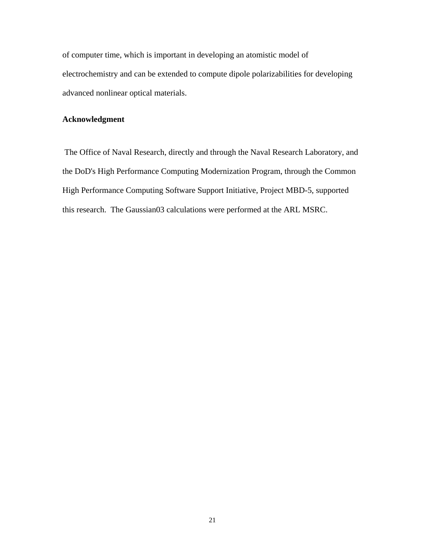of computer time, which is important in developing an atomistic model of electrochemistry and can be extended to compute dipole polarizabilities for developing advanced nonlinear optical materials.

### **Acknowledgment**

 The Office of Naval Research, directly and through the Naval Research Laboratory, and the DoD's High Performance Computing Modernization Program, through the Common High Performance Computing Software Support Initiative, Project MBD-5, supported this research. The Gaussian03 calculations were performed at the ARL MSRC.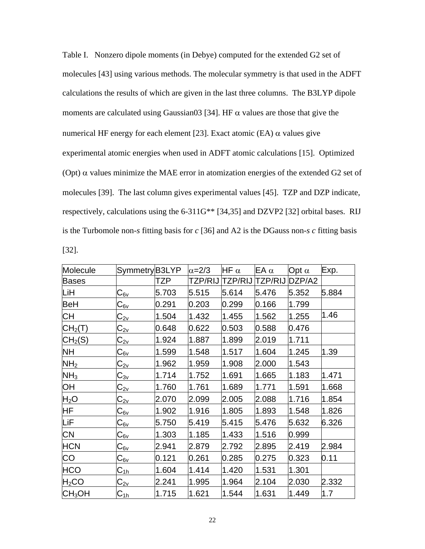| Table I. Nonzero dipole moments (in Debye) computed for the extended G2 set of                      |
|-----------------------------------------------------------------------------------------------------|
| molecules [43] using various methods. The molecular symmetry is that used in the ADFT               |
| calculations the results of which are given in the last three columns. The B3LYP dipole             |
| moments are calculated using Gaussian03 [34]. HF $\alpha$ values are those that give the            |
| numerical HF energy for each element [23]. Exact atomic (EA) $\alpha$ values give                   |
| experimental atomic energies when used in ADFT atomic calculations [15]. Optimized                  |
| (Opt) $\alpha$ values minimize the MAE error in atomization energies of the extended G2 set of      |
| molecules [39]. The last column gives experimental values [45]. TZP and DZP indicate,               |
| respectively, calculations using the 6-311G <sup>**</sup> [34,35] and DZVP2 [32] orbital bases. RIJ |
| is the Turbomole non-s fitting basis for $c$ [36] and A2 is the DGauss non-s $c$ fitting basis      |
| $[32]$ .                                                                                            |

| Molecule                    | Symmetry B3LYP                                  |       | $\alpha = 2/3$ | HF $\alpha$    | EA $\alpha$    | Opt $\alpha$ | Exp.  |
|-----------------------------|-------------------------------------------------|-------|----------------|----------------|----------------|--------------|-------|
| <b>Bases</b>                |                                                 | TZP   | TZP/RIJ        | <b>TZP/RIJ</b> | <b>TZP/RIJ</b> | DZP/A2       |       |
| LiH                         | $C_{6v}$                                        | 5.703 | 5.515          | 5.614          | 5.476          | 5.352        | 5.884 |
| BeH                         | $C_{6v}$                                        | 0.291 | 0.203          | 0.299          | 0.166          | 1.799        |       |
| СH                          | $C_{2v}$                                        | 1.504 | 1.432          | 1.455          | 1.562          | 1.255        | 1.46  |
| $\mathsf{CH}_2(\mathsf{T})$ | $C_{2v}$                                        | 0.648 | 0.622          | 0.503          | 0.588          | 0.476        |       |
| CH <sub>2</sub> (S)         | $C_{2v}$                                        | 1.924 | 1.887          | 1.899          | 2.019          | 1.711        |       |
| <b>NH</b>                   | $C_{\underline{6}\underline{v}}$                | 1.599 | 1.548          | 1.517          | 1.604          | 1.245        | 1.39  |
| NH <sub>2</sub>             | $C_{2v}$                                        | 1.962 | 1.959          | 1.908          | 2.000          | 1.543        |       |
| NH <sub>3</sub>             | $C_{3v}$                                        | 1.714 | 1.752          | 1.691          | 1.665          | 1.183        | 1.471 |
| OH                          | $\texttt{C}_{\underline{\mathsf{2v}}}$          | 1.760 | 1.761          | 1.689          | 1.771          | 1.591        | 1.668 |
| $H_2O$                      | $C_{2v}$                                        | 2.070 | 2.099          | 2.005          | 2.088          | 1.716        | 1.854 |
| HF.                         | $C_{6v}$                                        | 1.902 | 1.916          | 1.805          | 1.893          | 1.548        | 1.826 |
| LiF                         | $\textsf{C}_{\underline{6}\underline{v}}$       | 5.750 | 5.419          | 5.415          | 5.476          | 5.632        | 6.326 |
| <b>CN</b>                   | $C_{6v}$                                        | 1.303 | 1.185          | 1.433          | 1.516          | 0.999        |       |
| <b>HCN</b>                  | $C_{6v}$                                        | 2.941 | 2.879          | 2.792          | 2.895          | 2.419        | 2.984 |
| CO                          | $C_{\underline{6v}}$                            | 0.121 | 0.261          | 0.285          | 0.275          | 0.323        | 0.11  |
| <b>HCO</b>                  | $\textsf{C}_{\underline{1}\underline{h}}$       | 1.604 | 1.414          | 1.420          | 1.531          | 1.301        |       |
| $H_2CO$                     | $\textsf{C}_{\underline{\mathsf{2}\mathsf{v}}}$ | 2.241 | 1.995          | 1.964          | 2.104          | 2.030        | 2.332 |
| $\mathsf{CH_3OH}$           | $C_{1h}$                                        | 1.715 | 1.621          | 1.544          | 1.631          | 1.449        | 1.7   |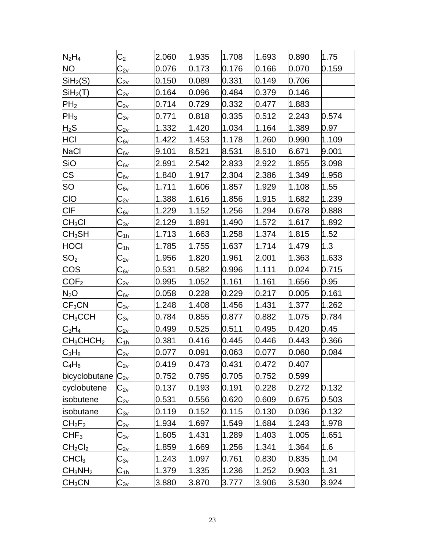| $N_2H_4$                          | C <sub>2</sub>                                     | 2.060 | 1.935 | 1.708 | 1.693 | 0.890 | 1.75  |
|-----------------------------------|----------------------------------------------------|-------|-------|-------|-------|-------|-------|
| <b>NO</b>                         | $\mathbb{C}_{2\mathsf{v}}$                         | 0.076 | 0.173 | 0.176 | 0.166 | 0.070 | 0.159 |
| SiH <sub>2</sub> (S)              | $\mathsf{C}_\mathsf{2v}$                           | 0.150 | 0.089 | 0.331 | 0.149 | 0.706 |       |
| SiH <sub>2</sub> (T)              | $\textsf{C}_{2{\sf v}}$                            | 0.164 | 0.096 | 0.484 | 0.379 | 0.146 |       |
| PH <sub>2</sub>                   | $\text{C}_{\underline{\mathsf{2v}}}$               | 0.714 | 0.729 | 0.332 | 0.477 | 1.883 |       |
| $\mathsf{PH}_3$                   | $\textsf{C}_{\underline{3}\underline{v}}$          | 0.771 | 0.818 | 0.335 | 0.512 | 2.243 | 0.574 |
| $H_2S$                            | $\textsf{C}_{2{\sf v}}$                            | 1.332 | 1.420 | 1.034 | 1.164 | 1.389 | 0.97  |
| HCI                               | $\mathrm{C}_{\mathrm{6v}}$                         | 1.422 | 1.453 | 1.178 | 1.260 | 0.990 | 1.109 |
| NaCl                              | C <sub>6⊻</sub>                                    | 9.101 | 8.521 | 8.531 | 8.510 | 6.671 | 9.001 |
| SiO                               | C <sub>6v</sub>                                    | 2.891 | 2.542 | 2.833 | 2.922 | 1.855 | 3.098 |
| <b>CS</b>                         | $\textsf{C}_{\underline{6}\textsf{v}}$             | 1.840 | 1.917 | 2.304 | 2.386 | 1.349 | 1.958 |
| SO                                | C <sub>6⊻</sub>                                    | 1.711 | 1.606 | 1.857 | 1.929 | 1.108 | 1.55  |
| <b>CIO</b>                        | $\textsf{C}_{2\underline{\vee}}$                   | 1.388 | 1.616 | 1.856 | 1.915 | 1.682 | 1.239 |
| <b>CIF</b>                        | $\textsf{C}_{\underline{6}\textsf{v}}$             | 1.229 | 1.152 | 1.256 | 1.294 | 0.678 | 0.888 |
| CH <sub>3</sub> Cl                | $\textsf{C}_{\underline{3}\underline{\mathsf{v}}}$ | 2.129 | 1.891 | 1.490 | 1.572 | 1.617 | 1.892 |
| CH <sub>3</sub> SH                | C <sub>1հ</sub>                                    | 1.713 | 1.663 | 1.258 | 1.374 | 1.815 | 1.52  |
| HOCI                              | $\mathsf{C}_{\textsf{1h}}$                         | 1.785 | 1.755 | 1.637 | 1.714 | 1.479 | 1.3   |
| SO <sub>2</sub>                   | $\mathbb{C}_{2\mathsf{v}}$                         | 1.956 | 1.820 | 1.961 | 2.001 | 1.363 | 1.633 |
| <b>COS</b>                        | C <sub>6v</sub>                                    | 0.531 | 0.582 | 0.996 | 1.111 | 0.024 | 0.715 |
| COF <sub>2</sub>                  | $\textsf{C}_{2 \underline{\mathsf{v}}}$            | 0.995 | 1.052 | 1.161 | 1.161 | 1.656 | 0.95  |
| $N_2O$                            | C <sub>6⊻</sub>                                    | 0.058 | 0.228 | 0.229 | 0.217 | 0.005 | 0.161 |
| $\mathsf{CF}_3\mathsf{CN}$        | C <sub>3v</sub>                                    | 1.248 | 1.408 | 1.456 | 1.431 | 1.377 | 1.262 |
| $\mathsf{CH_{3}CCH}$              | $\mathsf{C}_{\scriptstyle 3\mathsf{v}}$            | 0.784 | 0.855 | 0.877 | 0.882 | 1.075 | 0.784 |
| $C_3H_4$                          | $\textsf{C}_{2\underline{\mathsf{v}}}$             | 0.499 | 0.525 | 0.511 | 0.495 | 0.420 | 0.45  |
| CH <sub>3</sub> CHCH <sub>2</sub> | C <sub>1հ</sub>                                    | 0.381 | 0.416 | 0.445 | 0.446 | 0.443 | 0.366 |
| $C_3H_8$                          | $\textsf{C}_{\underline{\mathsf{2v}}}$             | 0.077 | 0.091 | 0.063 | 0.077 | 0.060 | 0.084 |
| $C_4H_6$                          | $\mathrm{C_{2v}}$                                  | 0.419 | 0.473 | 0.431 | 0.472 | 0.407 |       |
| bicyclobutane $ C_{2v} $          |                                                    | 0.752 | 0.795 | 0.705 | 0.752 | 0.599 |       |
| cyclobutene                       | $\textsf{C}_{2\underline{\vee}}$                   | 0.137 | 0.193 | 0.191 | 0.228 | 0.272 | 0.132 |
| isobutene                         | $C_{2v}$                                           | 0.531 | 0.556 | 0.620 | 0.609 | 0.675 | 0.503 |
| lisobutane                        | C <sub>3v</sub>                                    | 0.119 | 0.152 | 0.115 | 0.130 | 0.036 | 0.132 |
| CH <sub>2</sub> F <sub>2</sub>    | $\mathsf{C}_{2 \underline{\mathsf{v}}}$            | 1.934 | 1.697 | 1.549 | 1.684 | 1.243 | 1.978 |
| CHF <sub>3</sub>                  | C <sub>3⊻</sub>                                    | 1.605 | 1.431 | 1.289 | 1.403 | 1.005 | 1.651 |
| CH <sub>2</sub> Cl <sub>2</sub>   | $\mathrm{C_{2v}}$                                  | 1.859 | 1.669 | 1.256 | 1.341 | 1.364 | 1.6   |
| CHCl <sub>3</sub>                 | C <sub>3v</sub>                                    | 1.243 | 1.097 | 0.761 | 0.830 | 0.835 | 1.04  |
| $\mathsf{LCH_3NH_2}$              | <u> C<sub>1h</sub></u>                             | 1.379 | 1.335 | 1.236 | 1.252 | 0.903 | 1.31  |
| CH <sub>3</sub> CN                | $\textsf{C}_{\underline{3}\underline{\mathsf{v}}}$ | 3.880 | 3.870 | 3.777 | 3.906 | 3.530 | 3.924 |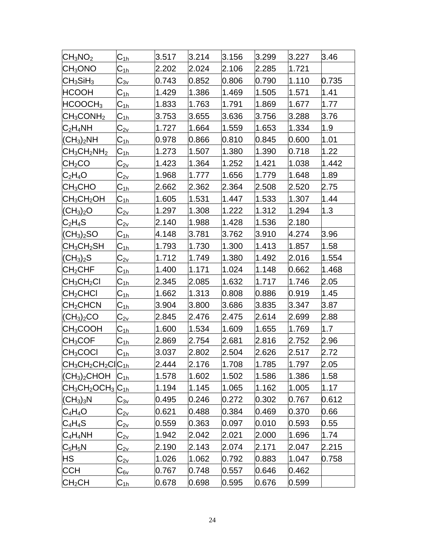| $ CH_3NO_2 $                       | $\overline{\textsf{C}_{1\text{h}}}$       | 3.517 | 3.214 | 3.156 | 3.299 | 3.227 | 3.46  |
|------------------------------------|-------------------------------------------|-------|-------|-------|-------|-------|-------|
| CH <sub>3</sub> ONO                | $\mathsf{C}_{\mathsf{1h}}$                | 2.202 | 2.024 | 2.106 | 2.285 | 1.721 |       |
| $CH_3SiH_3$                        | $\mathrm{C}_{3\mathrm{v}}$                | 0.743 | 0.852 | 0.806 | 0.790 | 1.110 | 0.735 |
| <b>HCOOH</b>                       | $\mathsf{C}_{\textsf{1h}}$                | 1.429 | 1.386 | 1.469 | 1.505 | 1.571 | 1.41  |
| HCOOCH <sub>3</sub>                | $\textsf{C}_{\underline{1}\underline{h}}$ | 1.833 | 1.763 | 1.791 | 1.869 | 1.677 | 1.77  |
| CH <sub>3</sub> CONH <sub>2</sub>  | C <sub>1h</sub>                           | 3.753 | 3.655 | 3.636 | 3.756 | 3.288 | 3.76  |
| $C_2H_4NH$                         | $\mathbb{C}_{2 \underline{v}}$            | 1.727 | 1.664 | 1.559 | 1.653 | 1.334 | 1.9   |
| (CH <sub>3</sub> ) <sub>2</sub> NH | $\mathsf{C}_{\underline{1}\underline{h}}$ | 0.978 | 0.866 | 0.810 | 0.845 | 0.600 | 1.01  |
| $CH_3CH_2NH_2$                     | $\textsf{C}_{\underline{1}\underline{h}}$ | 1.273 | 1.507 | 1.380 | 1.390 | 0.718 | 1.22  |
| CH <sub>2</sub> CO                 | $\mathrm{C_{2v}}$                         | 1.423 | 1.364 | 1.252 | 1.421 | 1.038 | 1.442 |
| $C_2H_4O$                          | $\textsf{C}_{\textsf{2v}}$                | 1.968 | 1.777 | 1.656 | 1.779 | 1.648 | 1.89  |
| CH <sub>3</sub> CHO                | C <sub>1h</sub>                           | 2.662 | 2.362 | 2.364 | 2.508 | 2.520 | 2.75  |
| CH <sub>3</sub> CH <sub>2</sub> OH | $\textsf{C}_{\texttt{1h}}$                | 1.605 | 1.531 | 1.447 | 1.533 | 1.307 | 1.44  |
| $(CH_3)_2O$                        | $\mathtt{C_{2v}}$                         | 1.297 | 1.308 | 1.222 | 1.312 | 1.294 | 1.3   |
| $C_2H_4S$                          | $\mathrm{C_{2v}}$                         | 2.140 | 1.988 | 1.428 | 1.536 | 2.180 |       |
| $(\textsf{CH}_3)_2\textsf{SO}$     | C <sub>1h</sub>                           | 4.148 | 3.781 | 3.762 | 3.910 | 4.274 | 3.96  |
| CH <sub>3</sub> CH <sub>2</sub> SH | $\mathsf{C}_{\mathsf{1h}}$                | 1.793 | 1.730 | 1.300 | 1.413 | 1.857 | 1.58  |
| $(CH_3)_2S$                        | $C_{2v}$                                  | 1.712 | 1.749 | 1.380 | 1.492 | 2.016 | 1.554 |
| CH <sub>2</sub> CHF                | C <sub>1h</sub>                           | 1.400 | 1.171 | 1.024 | 1.148 | 0.662 | 1.468 |
| CH <sub>3</sub> CH <sub>2</sub> Cl | C <sub>1h.</sub>                          | 2.345 | 2.085 | 1.632 | 1.717 | 1.746 | 2.05  |
| CH <sub>2</sub> CHCl               | $C_{\underline{1h}}$                      | 1.662 | 1.313 | 0.808 | 0.886 | 0.919 | 1.45  |
| CH <sub>2</sub> CHCN               | <u> C<sub>1h</sub></u>                    | 3.904 | 3.800 | 3.686 | 3.835 | 3.347 | 3.87  |
| (CH <sub>3</sub> ) <sub>2</sub> CO | $\mathrm{C_{2v}}$                         | 2.845 | 2.476 | 2.475 | 2.614 | 2.699 | 2.88  |
| CH <sub>3</sub> COOH               | $C_{1h}$                                  | 1.600 | 1.534 | 1.609 | 1.655 | 1.769 | 1.7   |
| CH <sub>3</sub> COF                | C <sub>1հ</sub>                           | 2.869 | 2.754 | 2.681 | 2.816 | 2.752 | 2.96  |
| $CH_3COCI$                         | $\textsf{C}_{\underline{1}\underline{h}}$ | 3.037 | 2.802 | 2.504 | 2.626 | 2.517 | 2.72  |
| $ CH_3CH_2CH_2Cl C_{1h}$           |                                           | 2.444 | 2.176 | 1.708 | 1.785 | 1.797 | 2.05  |
| $\rm (CH_3)_2CHOH$                 | $C_{1h}$                                  | 1.578 | 1.602 | 1.502 | 1.586 | 1.386 | 1.58  |
| $ CH_3CH_2OCH_3 C_{1h} $           |                                           | 1.194 | 1.145 | 1.065 | 1.162 | 1.005 | 1.17  |
| $ CH_3)_3N$                        | $\mathsf{C}_{3\mathsf{v}}$                | 0.495 | 0.246 | 0.272 | 0.302 | 0.767 | 0.612 |
| $C_4H_4O$                          | $\textsf{C}_{\textsf{2v}}$                | 0.621 | 0.488 | 0.384 | 0.469 | 0.370 | 0.66  |
| $C_4H_4S$                          | $\textsf{C}_{\underline{\mathsf{2v}}}$    | 0.559 | 0.363 | 0.097 | 0.010 | 0.593 | 0.55  |
| $C_4H_4NH$                         | $\mathrm{C_{2v}}$                         | 1.942 | 2.042 | 2.021 | 2.000 | 1.696 | 1.74  |
| $C_5H_5N$                          | $\textsf{C}_{\textsf{2v}}$                | 2.190 | 2.143 | 2.074 | 2.171 | 2.047 | 2.215 |
| HS                                 | $\textsf{C}_{\underline{\mathsf{2v}}}$    | 1.026 | 1.062 | 0.792 | 0.883 | 1.047 | 0.758 |
| <b>CCH</b>                         | <u>C<sub>6v</sub></u>                     | 0.767 | 0.748 | 0.557 | 0.646 | 0.462 |       |
| CH <sub>2</sub> CH                 | $C_{1h}$                                  | 0.678 | 0.698 | 0.595 | 0.676 | 0.599 |       |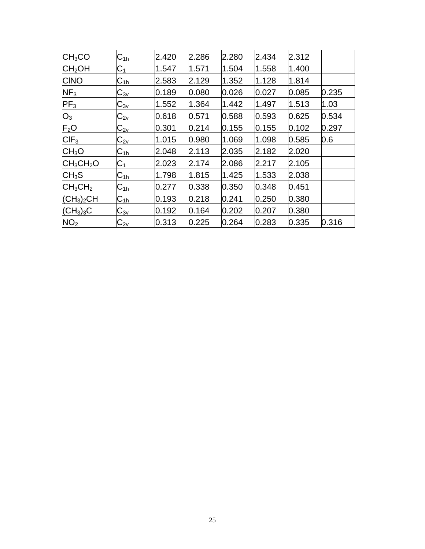| CH <sub>3</sub> CO                   | $C_{1h}$                   | 2.420 | 2.286 | 2.280 | 2.434 | 2.312 |       |
|--------------------------------------|----------------------------|-------|-------|-------|-------|-------|-------|
| CH <sub>2</sub> OH                   | $C_1$                      | 1.547 | 1.571 | 1.504 | 1.558 | 1.400 |       |
| <b>CINO</b>                          | $C_{1h}$                   | 2.583 | 2.129 | 1.352 | 1.128 | 1.814 |       |
| NF <sub>3</sub>                      | $C_{3v}$                   | 0.189 | 0.080 | 0.026 | 0.027 | 0.085 | 0.235 |
| PF <sub>3</sub>                      | $\mathrm{C}_{3\mathrm{v}}$ | 1.552 | 1.364 | 1.442 | 1.497 | 1.513 | 1.03  |
| $O_3$                                | $C_{2v}$                   | 0.618 | 0.571 | 0.588 | 0.593 | 0.625 | 0.534 |
| F <sub>2</sub> O                     | $\mathrm{C_{2v}}$          | 0.301 | 0.214 | 0.155 | 0.155 | 0.102 | 0.297 |
| $CIF_3$                              | $\mathrm{C_{2v}}$          | 1.015 | 0.980 | 1.069 | 1.098 | 0.585 | 0.6   |
| CH <sub>3</sub> O                    | $C_{1h}$                   | 2.048 | 2.113 | 2.035 | 2.182 | 2.020 |       |
| $CH_3CH_2O$                          | $C_1$                      | 2.023 | 2.174 | 2.086 | 2.217 | 2.105 |       |
| CH <sub>3</sub> S                    | $C_{1h}$                   | 1.798 | 1.815 | 1.425 | 1.533 | 2.038 |       |
| $CH_3CH_2$                           | $C_{1h}$                   | 0.277 | 0.338 | 0.350 | 0.348 | 0.451 |       |
| $ CH_3)_2CH$                         | $C_{1h}$                   | 0.193 | 0.218 | 0.241 | 0.250 | 0.380 |       |
| $\overline{\text{(CH}_3)}_3\text{C}$ | $\mathsf{C}_{3\mathsf{v}}$ | 0.192 | 0.164 | 0.202 | 0.207 | 0.380 |       |
| NO <sub>2</sub>                      | $\mathsf{C}_{\mathsf{2v}}$ | 0.313 | 0.225 | 0.264 | 0.283 | 0.335 | 0.316 |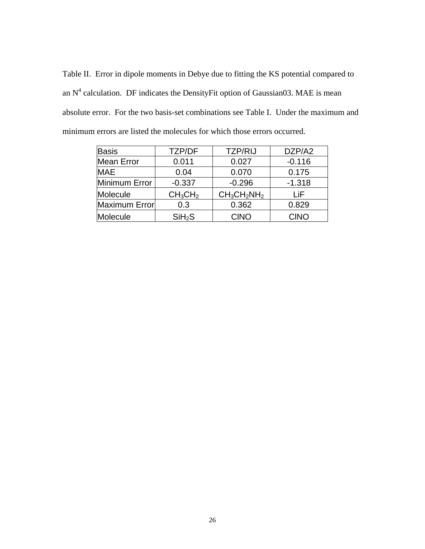Table II. Error in dipole moments in Debye due to fitting the KS potential compared to an  $N^4$  calculation. DF indicates the Density Fit option of Gaussian03. MAE is mean absolute error. For the two basis-set combinations see Table I. Under the maximum and minimum errors are listed the molecules for which those errors occurred.

| <b>Basis</b>         | <b>TZP/DF</b>                   | <b>TZP/RIJ</b> | DZP/A2   |
|----------------------|---------------------------------|----------------|----------|
| <b>Mean Error</b>    | 0.011                           | 0.027          | $-0.116$ |
| <b>MAE</b>           | 0.04                            | 0.070          | 0.175    |
| Minimum Error        | $-0.337$                        | $-0.296$       | $-1.318$ |
| Molecule             | CH <sub>3</sub> CH <sub>2</sub> | $CH_3CH_2NH_2$ | LiF      |
| <b>Maximum Error</b> | 0.3                             | 0.362          | 0.829    |
| Molecule             | SiH <sub>2</sub> S              | <b>CINO</b>    | CINO     |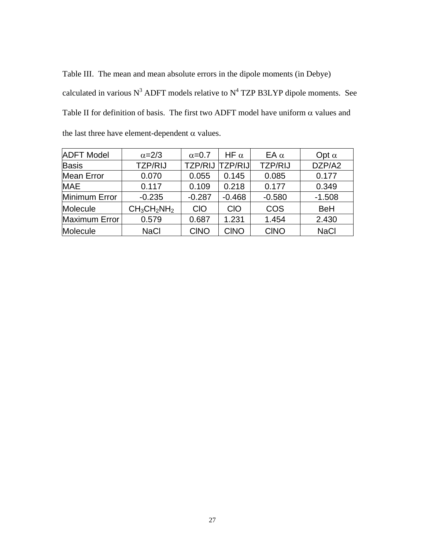Table III. The mean and mean absolute errors in the dipole moments (in Debye) calculated in various  $N^3$  ADFT models relative to  $N^4$  TZP B3LYP dipole moments. See Table II for definition of basis. The first two ADFT model have uniform  $\alpha$  values and the last three have element-dependent  $\alpha$  values.

| <b>ADFT Model</b> | $\alpha = 2/3$ | $\alpha$ =0.7  | HF $\alpha$    | EA $\alpha$    | Opt $\alpha$ |
|-------------------|----------------|----------------|----------------|----------------|--------------|
| <b>Basis</b>      | <b>TZP/RIJ</b> | <b>TZP/RIJ</b> | <b>TZP/RIJ</b> | <b>TZP/RIJ</b> | DZP/A2       |
| <b>Mean Error</b> | 0.070          | 0.055          | 0.145          | 0.085          | 0.177        |
| <b>MAE</b>        | 0.117          | 0.109          | 0.218          | 0.177          | 0.349        |
| Minimum Error     | $-0.235$       | $-0.287$       | $-0.468$       | $-0.580$       | $-1.508$     |
| Molecule          | $CH_3CH_2NH_2$ | <b>CIO</b>     | <b>CIO</b>     | COS            | <b>BeH</b>   |
| Maximum Error     | 0.579          | 0.687          | 1.231          | 1.454          | 2.430        |
| Molecule          | <b>NaCl</b>    | <b>CINO</b>    | <b>CINO</b>    | <b>CINO</b>    | <b>NaCl</b>  |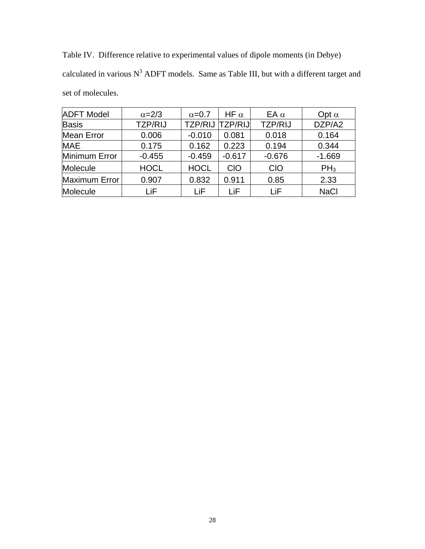Table IV. Difference relative to experimental values of dipole moments (in Debye) calculated in various  $N^3$  ADFT models. Same as Table III, but with a different target and set of molecules.

| <b>ADFT Model</b> | $\alpha = 2/3$ | $\alpha$ =0.7  | HF $\alpha$    | EA $\alpha$    | Opt $\alpha$ |
|-------------------|----------------|----------------|----------------|----------------|--------------|
| <b>Basis</b>      | <b>TZP/RIJ</b> | <b>TZP/RIJ</b> | <b>TZP/RIJ</b> | <b>TZP/RIJ</b> | DZP/A2       |
| <b>Mean Error</b> | 0.006          | $-0.010$       | 0.081          | 0.018          | 0.164        |
| <b>MAE</b>        | 0.175          | 0.162          | 0.223          | 0.194          | 0.344        |
| Minimum Error     | $-0.455$       | $-0.459$       | $-0.617$       | $-0.676$       | $-1.669$     |
| Molecule          | <b>HOCL</b>    | <b>HOCL</b>    | <b>CIO</b>     | <b>CIO</b>     | $PH_3$       |
| Maximum Error     | 0.907          | 0.832          | 0.911          | 0.85           | 2.33         |
| Molecule          | LiF            | LiF            | LiF            | l iF           | <b>NaCl</b>  |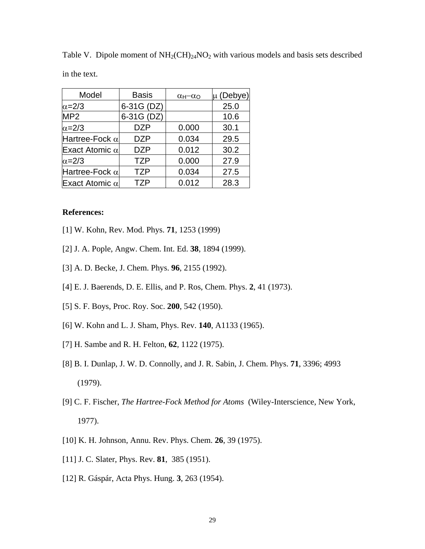| Model                 | <b>Basis</b> | $\alpha_{H}-\alpha_{O}$ | μ (Debye) |
|-----------------------|--------------|-------------------------|-----------|
| $\alpha = 2/3$        | 6-31G (DZ)   |                         | 25.0      |
| MP <sub>2</sub>       | 6-31G (DZ)   |                         | 10.6      |
| $\alpha = 2/3$        | <b>DZP</b>   | 0.000                   | 30.1      |
| Hartree-Fock $\alpha$ | DZP          | 0.034                   | 29.5      |
| Exact Atomic $\alpha$ | <b>DZP</b>   | 0.012                   | 30.2      |
| $\alpha=2/3$          | <b>TZP</b>   | 0.000                   | 27.9      |
| Hartree-Fock $\alpha$ | <b>TZP</b>   | 0.034                   | 27.5      |
| Exact Atomic $\alpha$ | <b>TZP</b>   | 0.012                   | 28.3      |

Table V. Dipole moment of  $NH<sub>2</sub>(CH)<sub>24</sub>NO<sub>2</sub>$  with various models and basis sets described in the text.

#### **References:**

- [1] W. Kohn, Rev. Mod. Phys. **71**, 1253 (1999)
- [2] J. A. Pople, Angw. Chem. Int. Ed. **38**, 1894 (1999).
- [3] A. D. Becke, J. Chem. Phys. **96**, 2155 (1992).
- [4] E. J. Baerends, D. E. Ellis, and P. Ros, Chem. Phys. **2**, 41 (1973).
- [5] S. F. Boys, Proc. Roy. Soc. **200**, 542 (1950).
- [6] W. Kohn and L. J. Sham, Phys. Rev. **140**, A1133 (1965).
- [7] H. Sambe and R. H. Felton, **62**, 1122 (1975).
- [8] B. I. Dunlap, J. W. D. Connolly, and J. R. Sabin, J. Chem. Phys. **71**, 3396; 4993 (1979).
- [9] C. F. Fischer, *The Hartree-Fock Method for Atoms* (Wiley-Interscience, New York, 1977).
- [10] K. H. Johnson, Annu. Rev. Phys. Chem. **26**, 39 (1975).
- [11] J. C. Slater, Phys. Rev. **81**, 385 (1951).
- [12] R. Gáspár, Acta Phys. Hung. **3**, 263 (1954).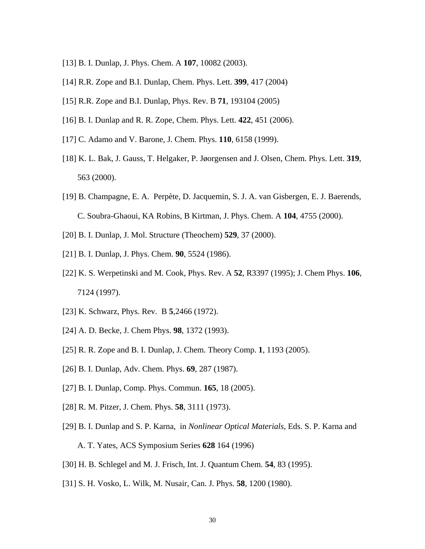- [13] B. I. Dunlap, J. Phys. Chem. A **107**, 10082 (2003).
- [14] R.R. Zope and B.I. Dunlap, Chem. Phys. Lett. **399**, 417 (2004)
- [15] R.R. Zope and B.I. Dunlap, Phys. Rev. B **71**, 193104 (2005)
- [16] B. I. Dunlap and R. R. Zope, Chem. Phys. Lett. **422**, 451 (2006).
- [17] C. Adamo and V. Barone, J. Chem. Phys. **110**, 6158 (1999).
- [18] K. L. Bak, J. Gauss, T. Helgaker, P. Jøorgensen and J. Olsen, Chem. Phys. Lett. **319**, 563 (2000).
- [19] B. Champagne, E. A. Perpète, D. Jacquemin, S. J. A. van Gisbergen, E. J. Baerends, C. Soubra-Ghaoui, KA Robins, B Kirtman, J. Phys. Chem. A **104**, 4755 (2000).
- [20] B. I. Dunlap, J. Mol. Structure (Theochem) **529**, 37 (2000).
- [21] B. I. Dunlap, J. Phys. Chem. **90**, 5524 (1986).
- [22] K. S. Werpetinski and M. Cook, Phys. Rev. A **52**, R3397 (1995); J. Chem Phys. **106**, 7124 (1997).
- [23] K. Schwarz, Phys. Rev. B **5**,2466 (1972).
- [24] A. D. Becke, J. Chem Phys. **98**, 1372 (1993).
- [25] R. R. Zope and B. I. Dunlap, J. Chem. Theory Comp. **1**, 1193 (2005).
- [26] B. I. Dunlap, Adv. Chem. Phys. **69**, 287 (1987).
- [27] B. I. Dunlap, Comp. Phys. Commun. **165**, 18 (2005).
- [28] R. M. Pitzer, J. Chem. Phys. **58**, 3111 (1973).
- [29] B. I. Dunlap and S. P. Karna, in *Nonlinear Optical Materials,* Eds. S. P. Karna and A. T. Yates, ACS Symposium Series **628** 164 (1996)
- [30] H. B. Schlegel and M. J. Frisch, Int. J. Quantum Chem. **54**, 83 (1995).
- [31] S. H. Vosko, L. Wilk, M. Nusair, Can. J. Phys. **58**, 1200 (1980).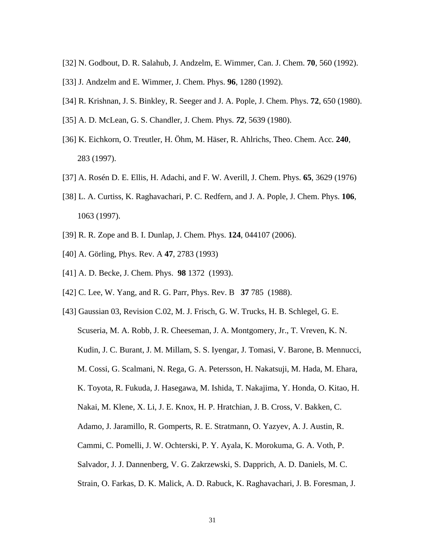- [32] N. Godbout, D. R. Salahub, J. Andzelm, E. Wimmer, Can. J. Chem. **70***,* 560 (1992).
- [33] J. Andzelm and E. Wimmer, J. Chem. Phys. **96**, 1280 (1992).
- [34] R. Krishnan, J. S. Binkley, R. Seeger and J. A. Pople, J. Chem. Phys. **72**, 650 (1980).
- [35] A. D. McLean, G. S. Chandler, J. Chem. Phys. *72*, 5639 (1980).
- [36] K. Eichkorn, O. Treutler, H. Öhm, M. Häser, R. Ahlrichs, Theo. Chem. Acc*.* **240**, 283 (1997).
- [37] A. Rosén D. E. Ellis, H. Adachi, and F. W. Averill, J. Chem. Phys. **65**, 3629 (1976)
- [38] L. A. Curtiss, K. Raghavachari, P. C. Redfern, and J. A. Pople, J. Chem. Phys. **106**, 1063 (1997).
- [39] R. R. Zope and B. I. Dunlap, J. Chem. Phys. **124**, 044107 (2006).
- [40] A. Görling, Phys. Rev. A **47**, 2783 (1993)
- [41] A. D. Becke, J. Chem. Phys. **98** 1372 (1993).
- [42] C. Lee, W. Yang, and R. G. Parr, Phys. Rev. B **37** 785 (1988).
- [43] Gaussian 03, Revision C.02, M. J. Frisch, G. W. Trucks, H. B. Schlegel, G. E. Scuseria, M. A. Robb, J. R. Cheeseman, J. A. Montgomery, Jr., T. Vreven, K. N. Kudin, J. C. Burant, J. M. Millam, S. S. Iyengar, J. Tomasi, V. Barone, B. Mennucci, M. Cossi, G. Scalmani, N. Rega, G. A. Petersson, H. Nakatsuji, M. Hada, M. Ehara, K. Toyota, R. Fukuda, J. Hasegawa, M. Ishida, T. Nakajima, Y. Honda, O. Kitao, H. Nakai, M. Klene, X. Li, J. E. Knox, H. P. Hratchian, J. B. Cross, V. Bakken, C. Adamo, J. Jaramillo, R. Gomperts, R. E. Stratmann, O. Yazyev, A. J. Austin, R. Cammi, C. Pomelli, J. W. Ochterski, P. Y. Ayala, K. Morokuma, G. A. Voth, P. Salvador, J. J. Dannenberg, V. G. Zakrzewski, S. Dapprich, A. D. Daniels, M. C.
	- Strain, O. Farkas, D. K. Malick, A. D. Rabuck, K. Raghavachari, J. B. Foresman, J.